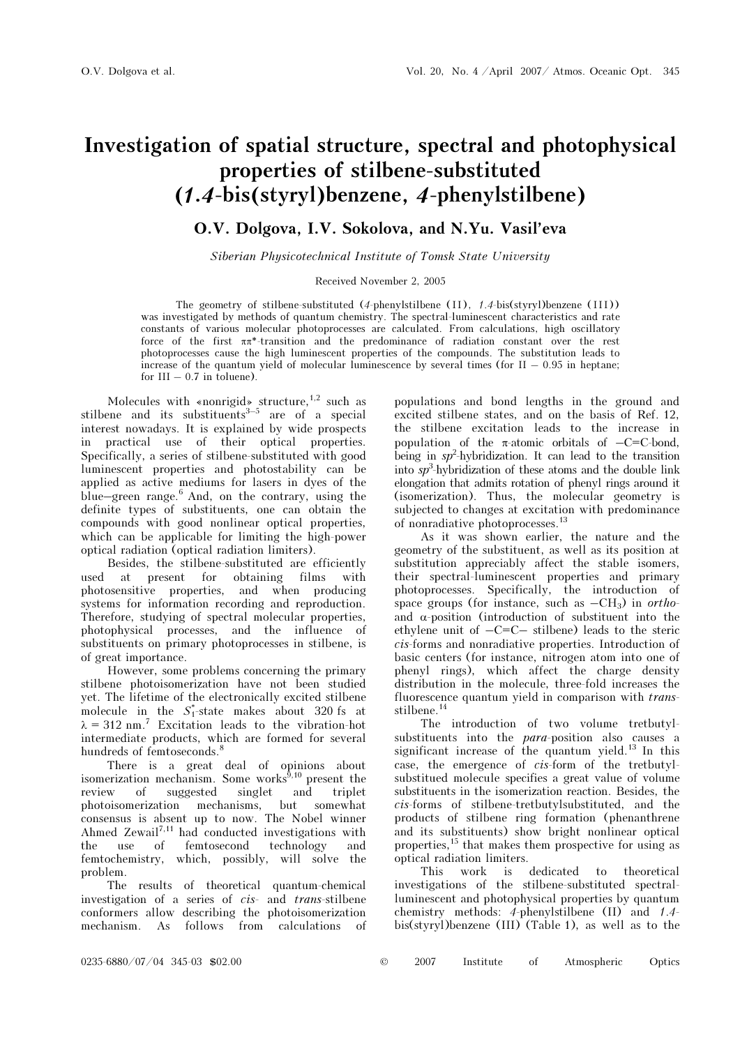# Investigation of spatial structure, spectral and photophysical properties of stilbene-substituted (1.4-bis(styryl)benzene, 4-phenylstilbene)

# O.V. Dolgova, I.V. Sokolova, and N.Yu. Vasil'eva

Siberian Physicotechnical Institute of Tomsk State University

## Received November 2, 2005

The geometry of stilbene-substituted (4-phenylstilbene (II), 1.4-bis(styryl)benzene (III)) was investigated by methods of quantum chemistry. The spectral-luminescent characteristics and rate constants of various molecular photoprocesses are calculated. From calculations, high oscillatory force of the first ππ\*-transition and the predominance of radiation constant over the rest photoprocesses cause the high luminescent properties of the compounds. The substitution leads to increase of the quantum yield of molecular luminescence by several times (for  $II - 0.95$  in heptane; for  $III - 0.7$  in toluene).

Molecules with «nonrigid» structure,  $1,2$  such as stilbene and its substituents<sup>3-5</sup> are of a special interest nowadays. It is explained by wide prospects in practical use of their optical properties. Specifically, a series of stilbene-substituted with good luminescent properties and photostability can be applied as active mediums for lasers in dyes of the blue–green range. $6$  And, on the contrary, using the definite types of substituents, one can obtain the compounds with good nonlinear optical properties, which can be applicable for limiting the high-power optical radiation (optical radiation limiters).

Besides, the stilbene-substituted are efficiently used at present for obtaining films with photosensitive properties, and when producing systems for information recording and reproduction. Therefore, studying of spectral molecular properties, photophysical processes, and the influence of substituents on primary photoprocesses in stilbene, is of great importance.

However, some problems concerning the primary stilbene photoisomerization have not been studied yet. The lifetime of the electronically excited stilbene molecule in the  $S_1^*$ -state makes about 320 fs at  $\lambda = 312$  nm.<sup>7</sup> Excitation leads to the vibration-hot intermediate products, which are formed for several hundreds of femtoseconds.<sup>8</sup>

There is a great deal of opinions about isomerization mechanism. Some works $^{\hat{9},10}$  present the review of suggested singlet and triplet photoisomerization mechanisms, but somewhat consensus is absent up to now. The Nobel winner Ahmed Zewail<sup>7,11</sup> had conducted investigations with the use of femtosecond technology and femtochemistry, which, possibly, will solve the problem.

The results of theoretical quantum-chemical investigation of a series of cis- and trans-stilbene conformers allow describing the photoisomerization mechanism. As follows from calculations of populations and bond lengths in the ground and excited stilbene states, and on the basis of Ref. 12, the stilbene excitation leads to the increase in population of the  $\pi$ -atomic orbitals of  $-C=C$ -bond, being in  $sp^2$ -hybridization. It can lead to the transition into  $sp^3$ -hybridization of these atoms and the double link elongation that admits rotation of phenyl rings around it (isomerization). Thus, the molecular geometry is subjected to changes at excitation with predominance of nonradiative photoprocesses.<sup>13</sup>

As it was shown earlier, the nature and the geometry of the substituent, as well as its position at substitution appreciably affect the stable isomers, their spectral-luminescent properties and primary photoprocesses. Specifically, the introduction of space groups (for instance, such as  $-CH_3$ ) in orthoand  $\alpha$ -position (introduction of substituent into the ethylene unit of  $-C=C-$  stilbene) leads to the steric cis-forms and nonradiative properties. Introduction of basic centers (for instance, nitrogen atom into one of phenyl rings), which affect the charge density distribution in the molecule, three-fold increases the fluorescence quantum yield in comparison with transstilbene.<sup>14</sup>

The introduction of two volume tretbutylsubstituents into the para-position also causes a significant increase of the quantum yield.<sup>13</sup> In this case, the emergence of cis-form of the tretbutylsubstitued molecule specifies a great value of volume substituents in the isomerization reaction. Besides, the cis-forms of stilbene-tretbutylsubstituted, and the products of stilbene ring formation (phenanthrene and its substituents) show bright nonlinear optical properties,<sup>15</sup> that makes them prospective for using as optical radiation limiters.

This work is dedicated to theoretical investigations of the stilbene-substituted spectralluminescent and photophysical properties by quantum chemistry methods: 4-phenylstilbene (II) and 1.4 bis(styryl)benzene (III) (Table 1), as well as to the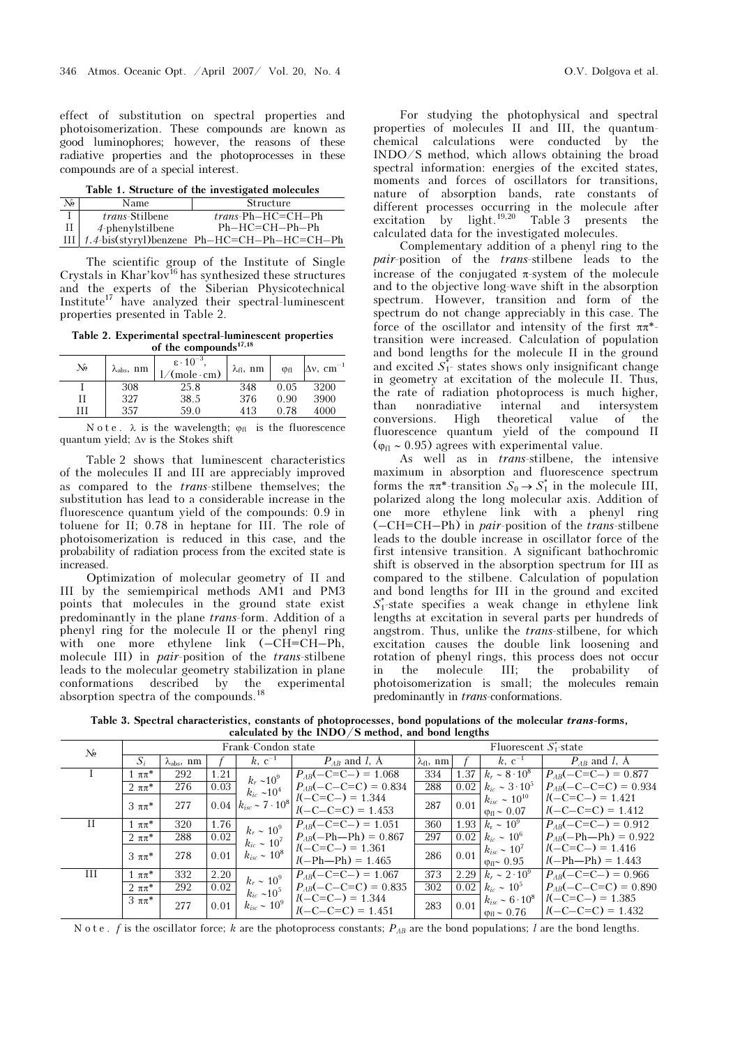effect of substitution on spectral properties and photoisomerization. These compounds are known as good luminophores; however, the reasons of these radiative properties and the photoprocesses in these compounds are of a special interest.

Table 1. Structure of the investigated molecules

| No. | Name                  | Structure                                         |
|-----|-----------------------|---------------------------------------------------|
|     | <i>trans-Stilbene</i> | $trans\text{-}Ph\text{-}HC\text{=}CH\text{-}Ph$   |
| ПΙ  | 4-phenylstilbene      | $Ph-HC=CH-Ph-Ph$                                  |
|     |                       | III   1.4-bis(styryl)benzene Ph-HC=CH-Ph-HC=CH-Ph |

The scientific group of the Institute of Single Crystals in Khar'kov $^{16}$  has synthesized these structures and the experts of the Siberian Physicotechnical Institute<sup>17</sup> have analyzed their spectral-luminescent properties presented in Table 2.

Table 2. Experimental spectral-luminescent properties of the compounds $17,18$ 

| No | $\lambda_{\rm abs}, \text{ nm}$ | $\varepsilon \cdot 10^{-3}$<br>$/$ (mole·cm) | $\lambda_{\text{fl}}$ , nm | $\varphi_{fl}$ | $\Delta v$ , cm <sup>-1</sup> |
|----|---------------------------------|----------------------------------------------|----------------------------|----------------|-------------------------------|
|    | 308                             | 25.8                                         | 348                        | 0.05           | 3200                          |
| Н  | 327                             | 38.5                                         | 376                        | 0.90           | 3900                          |
| ГT | 357                             | 59.0                                         | 413                        | 0.78           | 4000                          |

Note.  $\lambda$  is the wavelength;  $\varphi_{\text{fl}}$  is the fluorescence quantum yield; Δν is the Stokes shift

Table 2 shows that luminescent characteristics of the molecules II and III are appreciably improved as compared to the trans-stilbene themselves; the substitution has lead to a considerable increase in the fluorescence quantum yield of the compounds: 0.9 in toluene for II; 0.78 in heptane for III. The role of photoisomerization is reduced in this case, and the probability of radiation process from the excited state is increased.

Optimization of molecular geometry of II and III by the semiempirical methods AM1 and PM3 points that molecules in the ground state exist predominantly in the plane trans-form. Addition of a phenyl ring for the molecule II or the phenyl ring with one more ethylene link  $(-CH=CH-Ph,$ molecule III) in pair-position of the trans-stilbene leads to the molecular geometry stabilization in plane conformations described by the experimental absorption spectra of the compounds.<sup>18</sup>

For studying the photophysical and spectral properties of molecules II and III, the quantumchemical calculations were conducted by the INDO/S method, which allows obtaining the broad spectral information: energies of the excited states, moments and forces of oscillators for transitions, nature of absorption bands, rate constants of different processes occurring in the molecule after excitation by light.19,20 Table 3 presents the calculated data for the investigated molecules.

Complementary addition of a phenyl ring to the pair-position of the trans-stilbene leads to the increase of the conjugated  $\pi$ -system of the molecule and to the objective long-wave shift in the absorption spectrum. However, transition and form of the spectrum do not change appreciably in this case. The force of the oscillator and intensity of the first  $\pi\pi^*$ transition were increased. Calculation of population and bond lengths for the molecule II in the ground and excited  $S_{1}^{*}$  states shows only insignificant change in geometry at excitation of the molecule II. Thus, the rate of radiation photoprocess is much higher, than nonradiative internal and intersystem conversions. High theoretical value of the fluorescence quantum yield of the compound II  $(\varphi_{\text{fl}} \sim 0.95)$  agrees with experimental value.

As well as in trans-stilbene, the intensive maximum in absorption and fluorescence spectrum forms the  $\pi \pi^*$ -transition  $S_0 \to S_1^*$  in the molecule III, polarized along the long molecular axis. Addition of one more ethylene link with a phenyl ring  $(-CH=CH-Ph)$  in *pair-position of the trans-stilbene* leads to the double increase in oscillator force of the first intensive transition. A significant bathochromic shift is observed in the absorption spectrum for III as compared to the stilbene. Calculation of population and bond lengths for III in the ground and excited  $S_1^*$ -state specifies a weak change in ethylene link lengths at excitation in several parts per hundreds of angstrom. Thus, unlike the trans-stilbene, for which excitation causes the double link loosening and rotation of phenyl rings, this process does not occur<br>in the molecule III; the probability of in the molecule III; the probability of photoisomerization is small; the molecules remain predominantly in trans-conformations.

Table 3. Spectral characteristics, constants of photoprocesses, bond populations of the molecular trans-forms, calculated by the  $\overline{INDO}/S$  method, and bond lengths

| No | Frank-Condon state |                             |      | Fluorescent $S_1^*$ -state                                   |                                           |                     |      |                                                          |                                           |
|----|--------------------|-----------------------------|------|--------------------------------------------------------------|-------------------------------------------|---------------------|------|----------------------------------------------------------|-------------------------------------------|
|    | $S_i$              | $\lambda_{\text{abs}}$ , nm |      | $k, c^{-1}$                                                  | $P_{AB}$ and l, A                         | $\lambda_{fl}$ , nm |      | $k, c^{-1}$                                              | $P_{AB}$ and l, A                         |
|    | $\pi\pi^*$         | 292                         | 1.21 | $k_r \sim 10^9$                                              | $P_{AB}(-C=C-)=1.068$                     | 334                 | 1.37 | $k_r \sim 8 \cdot 10^8$                                  | $P_{AB}(-C=C-)=0.877$                     |
|    | $2 \pi \pi^*$      | 276                         | 0.03 | $k_{ic} \sim 10^4$<br>$0.04 \mid k_{isc} \sim 7 \cdot 10^8$  | $P_{AB}(-C-C=C) = 0.834$                  | 288                 | 0.02 | $k_{ic} \sim 3 \cdot 10^5$                               | $P_{AB}(-C-C=C) = 0.934$                  |
|    | $3 \pi \pi^*$      | 277                         |      |                                                              | $l(-C=C-) = 1.344$<br>$l(-C-C=C) = 1.453$ | 287                 | 0.01 | $k_{isc} \sim 10^{10}$<br>$\varphi_{\rm fl} \sim 0.07$   | $l(-C=C-) = 1.421$<br>$l(-C-C=C) = 1.412$ |
| П  | l ππ*              | 320                         | 1.76 | $k_r \sim 10^9$                                              | $P_{AB}(-C=C-) = 1.051$                   | 360                 |      | $1.93 \mid k_r \sim 10^9$                                | $P_{AB}(-C=C-) = 0.912$                   |
|    | $2 \pi \pi^*$      | 288                         | 0.02 | $k_{ic} \sim 10^7$<br>$k_{isc} \sim 10^8$                    | $P_{AB}(-Ph - Ph) = 0.867$                | 297                 | 0.02 | $k_{ic} \sim 10^6$                                       | $P_{AB}(-Ph - Ph) = 0.922$                |
|    | $3 \pi \pi^*$      | 278                         | 0.01 |                                                              | $l(-C=C-) = 1.361$<br>$l(-Ph-Ph) = 1.465$ | 286                 | 0.01 | $k_{isc} \sim 10^7$<br>$\varphi_{\rm fl}$ $\sim 0.95$    | $l(-C=C-) = 1.416$<br>$l(-Ph-Ph) = 1.443$ |
| Ш  | $1\pi\pi^{*}$      | 332                         | 2.20 | $k_r \sim 10^9$<br>$k_{ic} \sim 10^5$<br>$k_{isc} \sim 10^9$ | $P_{AB}(-C=C-) = 1.067$                   | 373                 |      | 2.29 $k_r \sim 2 \cdot 10^9$                             | $P_{AB}(-C=C-)=0.966$                     |
|    | $2 \pi \pi^*$      | 292                         | 0.02 |                                                              | $P_{AB}(-C-C=C) = 0.835$                  | 302                 | 0.02 | $k_{ic} \sim 10^5$                                       | $P_{AB}(-C-C=C) = 0.890$                  |
|    | $3\pi\pi$ *        | 277                         | 0.01 |                                                              | $l(-C=C-) = 1.344$<br>$l(-C-C=C) = 1.451$ | 283                 | 0.01 | $k_{isc} \sim 6 \cdot 10^8$<br>$\phi_{\rm fl} \sim 0.76$ | $l(-C=C-) = 1.385$<br>$l(-C-C=C) = 1.432$ |

Note. f is the oscillator force; k are the photoprocess constants;  $P_{AB}$  are the bond populations; l are the bond lengths.